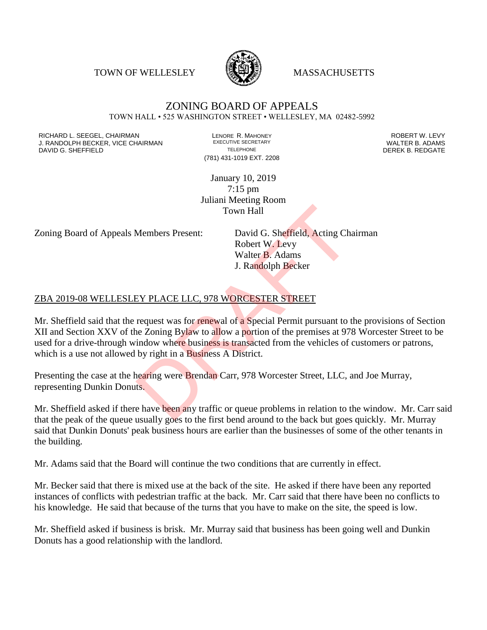TOWN OF WELLESLEY **WASSACHUSETTS** 



#### ZONING BOARD OF APPEALS TOWN HALL • 525 WASHINGTON STREET • WELLESLEY, MA 02482-5992

RICHARD L. SEEGEL, CHAIRMAN LENORE R. MAHONEY ROBERT W. LEVY J. RANDOLPH BECKER, VICE CHAIRMAN EXECUTIVE SECRETARY OF TELEPHONE DAVID G. SHEFFIELD **TELEPHONE** TELEPHONE TELEPHONE **TELEPHONE DEREK B. REDGATE** 

(781) 431-1019 EXT. 2208

January 10, 2019 7:15 pm Juliani Meeting Room Town Hall

Zoning Board of Appeals Members Present: David G. Sheffield, Acting Chairman

Robert W. Levy Walter B. Adams J. Randolph Becker

#### ZBA 2019-08 WELLESLEY PLACE LLC, 978 WORCESTER STREET

Mr. Sheffield said that the request was for renewal of a Special Permit pursuant to the provisions of Section XII and Section XXV of the Zoning Bylaw to allow a portion of the premises at 978 Worcester Street to be used for a drive-through window where business is transacted from the vehicles of customers or patrons, which is a use not allowed by right in a Business A District. Town Hall<br>Members Present: David G. Sheffield, Acting Ch.<br>Robert W. Levy<br>Walter B. Adams<br>J. Randolph Becker<br>EY PLACE LLC, 978 WORCESTER STREET<br>request was for renewal of a Special Permit pursuant to to<br>expanse of the premi

Presenting the case at the hearing were Brendan Carr, 978 Worcester Street, LLC, and Joe Murray, representing Dunkin Donuts.

Mr. Sheffield asked if there have been any traffic or queue problems in relation to the window. Mr. Carr said that the peak of the queue usually goes to the first bend around to the back but goes quickly. Mr. Murray said that Dunkin Donuts' peak business hours are earlier than the businesses of some of the other tenants in the building.

Mr. Adams said that the Board will continue the two conditions that are currently in effect.

Mr. Becker said that there is mixed use at the back of the site. He asked if there have been any reported instances of conflicts with pedestrian traffic at the back. Mr. Carr said that there have been no conflicts to his knowledge. He said that because of the turns that you have to make on the site, the speed is low.

Mr. Sheffield asked if business is brisk. Mr. Murray said that business has been going well and Dunkin Donuts has a good relationship with the landlord.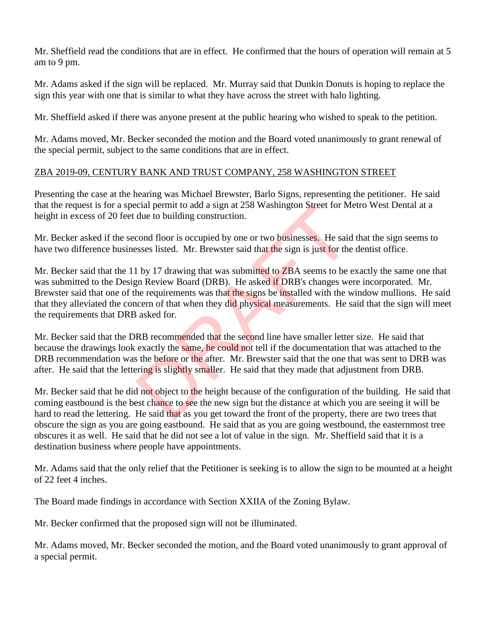Mr. Sheffield read the conditions that are in effect. He confirmed that the hours of operation will remain at 5 am to 9 pm.

Mr. Adams asked if the sign will be replaced. Mr. Murray said that Dunkin Donuts is hoping to replace the sign this year with one that is similar to what they have across the street with halo lighting.

Mr. Sheffield asked if there was anyone present at the public hearing who wished to speak to the petition.

Mr. Adams moved, Mr. Becker seconded the motion and the Board voted unanimously to grant renewal of the special permit, subject to the same conditions that are in effect.

### ZBA 2019-09, CENTURY BANK AND TRUST COMPANY, 258 WASHINGTON STREET

Presenting the case at the hearing was Michael Brewster, Barlo Signs, representing the petitioner. He said that the request is for a special permit to add a sign at 258 Washington Street for Metro West Dental at a height in excess of 20 feet due to building construction.

Mr. Becker asked if the second floor is occupied by one or two businesses. He said that the sign seems to have two difference businesses listed. Mr. Brewster said that the sign is just for the dentist office.

Mr. Becker said that the 11 by 17 drawing that was submitted to ZBA seems to be exactly the same one that was submitted to the Design Review Board (DRB). He asked if DRB's changes were incorporated. Mr. Brewster said that one of the requirements was that the signs be installed with the window mullions. He said that they alleviated the concern of that when they did physical measurements. He said that the sign will meet the requirements that DRB asked for. cial permit to add a sign at 258 Washington Street for M<br>due to building construction.<br>cond floor is occupied by one or two businesses. He said<br>sses listed. Mr. Brewster said that the sign is just for the<br>1 by 17 drawing t

Mr. Becker said that the DRB recommended that the second line have smaller letter size. He said that because the drawings look exactly the same, he could not tell if the documentation that was attached to the DRB recommendation was the before or the after. Mr. Brewster said that the one that was sent to DRB was after. He said that the lettering is slightly smaller. He said that they made that adjustment from DRB.

Mr. Becker said that he did not object to the height because of the configuration of the building. He said that coming eastbound is the best chance to see the new sign but the distance at which you are seeing it will be hard to read the lettering. He said that as you get toward the front of the property, there are two trees that obscure the sign as you are going eastbound. He said that as you are going westbound, the easternmost tree obscures it as well. He said that he did not see a lot of value in the sign. Mr. Sheffield said that it is a destination business where people have appointments.

Mr. Adams said that the only relief that the Petitioner is seeking is to allow the sign to be mounted at a height of 22 feet 4 inches.

The Board made findings in accordance with Section XXIIA of the Zoning Bylaw.

Mr. Becker confirmed that the proposed sign will not be illuminated.

Mr. Adams moved, Mr. Becker seconded the motion, and the Board voted unanimously to grant approval of a special permit.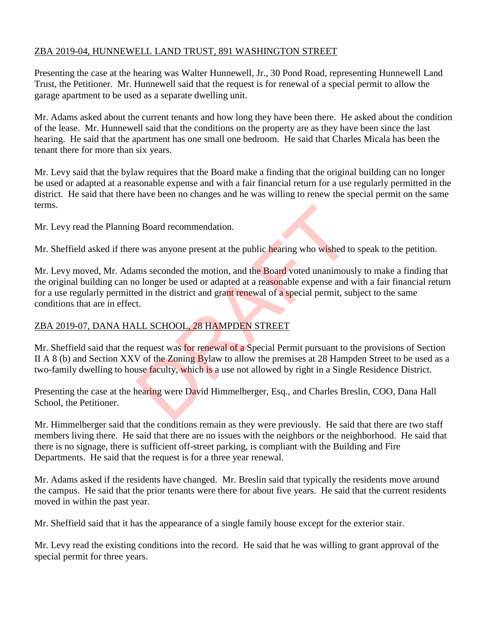# ZBA 2019-04, HUNNEWELL LAND TRUST, 891 WASHINGTON STREET

Presenting the case at the hearing was Walter Hunnewell, Jr., 30 Pond Road, representing Hunnewell Land Trust, the Petitioner. Mr. Hunnewell said that the request is for renewal of a special permit to allow the garage apartment to be used as a separate dwelling unit.

Mr. Adams asked about the current tenants and how long they have been there. He asked about the condition of the lease. Mr. Hunnewell said that the conditions on the property are as they have been since the last hearing. He said that the apartment has one small one bedroom. He said that Charles Micala has been the tenant there for more than six years.

Mr. Levy said that the bylaw requires that the Board make a finding that the original building can no longer be used or adapted at a reasonable expense and with a fair financial return for a use regularly permitted in the district. He said that there have been no changes and he was willing to renew the special permit on the same terms.

Mr. Levy read the Planning Board recommendation.

Mr. Sheffield asked if there was anyone present at the public hearing who wished to speak to the petition.

Mr. Levy moved, Mr. Adams seconded the motion, and the Board voted unanimously to make a finding that the original building can no longer be used or adapted at a reasonable expense and with a fair financial return for a use regularly permitted in the district and grant renewal of a special permit, subject to the same conditions that are in effect. g Board recommendation.<br>
e was anyone present at the public hearing who wished to<br>
ms seconded the motion, and the Board voted unanimous<br>
o longer be used or adapted at a reasonable expense and<br>
ed in the district and gran

#### ZBA 2019-07, DANA HALL SCHOOL, 28 HAMPDEN STREET

Mr. Sheffield said that the request was for renewal of a Special Permit pursuant to the provisions of Section II A 8 (b) and Section XXV of the Zoning Bylaw to allow the premises at 28 Hampden Street to be used as a two-family dwelling to house faculty, which is a use not allowed by right in a Single Residence District.

Presenting the case at the hearing were David Himmelberger, Esq., and Charles Breslin, COO, Dana Hall School, the Petitioner.

Mr. Himmelberger said that the conditions remain as they were previously. He said that there are two staff members living there. He said that there are no issues with the neighbors or the neighborhood. He said that there is no signage, there is sufficient off-street parking, is compliant with the Building and Fire Departments. He said that the request is for a three year renewal.

Mr. Adams asked if the residents have changed. Mr. Breslin said that typically the residents move around the campus. He said that the prior tenants were there for about five years. He said that the current residents moved in within the past year.

Mr. Sheffield said that it has the appearance of a single family house except for the exterior stair.

Mr. Levy read the existing conditions into the record. He said that he was willing to grant approval of the special permit for three years.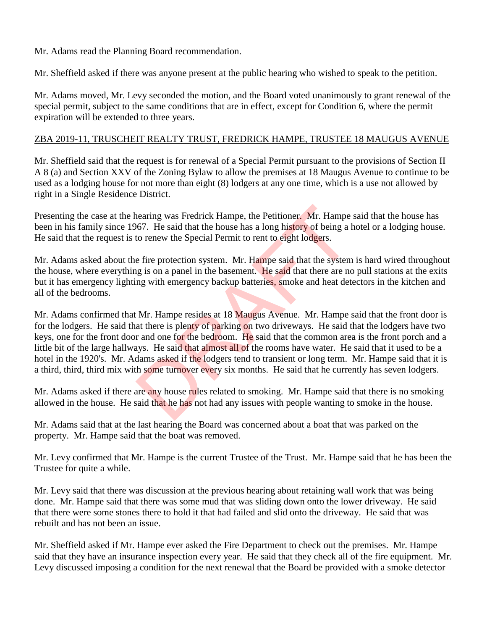Mr. Adams read the Planning Board recommendation.

Mr. Sheffield asked if there was anyone present at the public hearing who wished to speak to the petition.

Mr. Adams moved, Mr. Levy seconded the motion, and the Board voted unanimously to grant renewal of the special permit, subject to the same conditions that are in effect, except for Condition 6, where the permit expiration will be extended to three years.

#### ZBA 2019-11, TRUSCHEIT REALTY TRUST, FREDRICK HAMPE, TRUSTEE 18 MAUGUS AVENUE

Mr. Sheffield said that the request is for renewal of a Special Permit pursuant to the provisions of Section II A 8 (a) and Section XXV of the Zoning Bylaw to allow the premises at 18 Maugus Avenue to continue to be used as a lodging house for not more than eight (8) lodgers at any one time, which is a use not allowed by right in a Single Residence District.

Presenting the case at the hearing was Fredrick Hampe, the Petitioner. Mr. Hampe said that the house has been in his family since 1967. He said that the house has a long history of being a hotel or a lodging house. He said that the request is to renew the Special Permit to rent to eight lodgers.

Mr. Adams asked about the fire protection system. Mr. Hampe said that the system is hard wired throughout the house, where everything is on a panel in the basement. He said that there are no pull stations at the exits but it has emergency lighting with emergency backup batteries, smoke and heat detectors in the kitchen and all of the bedrooms.

Mr. Adams confirmed that Mr. Hampe resides at 18 Maugus Avenue. Mr. Hampe said that the front door is for the lodgers. He said that there is plenty of parking on two driveways. He said that the lodgers have two keys, one for the front door and one for the bedroom. He said that the common area is the front porch and a little bit of the large hallways. He said that almost all of the rooms have water. He said that it used to be a hotel in the 1920's. Mr. Adams asked if the lodgers tend to transient or long term. Mr. Hampe said that it is a third, third, third mix with some turnover every six months. He said that he currently has seven lodgers. nearing was Fredrick Hampe, the Petitioner, Mr. Hampe 667. He said that the house has a long history of being a lot or enew the Special Permit to rent to eight lodgers.<br>
e fire protection system. Mr. Hampe said that the sy

Mr. Adams asked if there are any house rules related to smoking. Mr. Hampe said that there is no smoking allowed in the house. He said that he has not had any issues with people wanting to smoke in the house.

Mr. Adams said that at the last hearing the Board was concerned about a boat that was parked on the property. Mr. Hampe said that the boat was removed.

Mr. Levy confirmed that Mr. Hampe is the current Trustee of the Trust. Mr. Hampe said that he has been the Trustee for quite a while.

Mr. Levy said that there was discussion at the previous hearing about retaining wall work that was being done. Mr. Hampe said that there was some mud that was sliding down onto the lower driveway. He said that there were some stones there to hold it that had failed and slid onto the driveway. He said that was rebuilt and has not been an issue.

Mr. Sheffield asked if Mr. Hampe ever asked the Fire Department to check out the premises. Mr. Hampe said that they have an insurance inspection every year. He said that they check all of the fire equipment. Mr. Levy discussed imposing a condition for the next renewal that the Board be provided with a smoke detector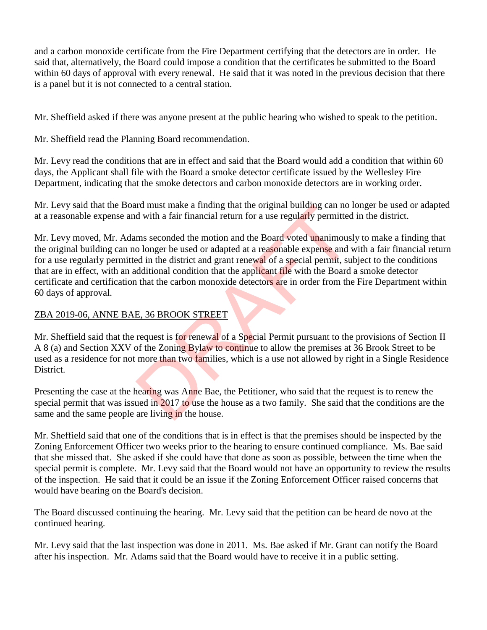and a carbon monoxide certificate from the Fire Department certifying that the detectors are in order. He said that, alternatively, the Board could impose a condition that the certificates be submitted to the Board within 60 days of approval with every renewal. He said that it was noted in the previous decision that there is a panel but it is not connected to a central station.

Mr. Sheffield asked if there was anyone present at the public hearing who wished to speak to the petition.

Mr. Sheffield read the Planning Board recommendation.

Mr. Levy read the conditions that are in effect and said that the Board would add a condition that within 60 days, the Applicant shall file with the Board a smoke detector certificate issued by the Wellesley Fire Department, indicating that the smoke detectors and carbon monoxide detectors are in working order.

Mr. Levy said that the Board must make a finding that the original building can no longer be used or adapted at a reasonable expense and with a fair financial return for a use regularly permitted in the district.

Mr. Levy moved, Mr. Adams seconded the motion and the Board voted unanimously to make a finding that the original building can no longer be used or adapted at a reasonable expense and with a fair financial return for a use regularly permitted in the district and grant renewal of a special permit, subject to the conditions that are in effect, with an additional condition that the applicant file with the Board a smoke detector certificate and certification that the carbon monoxide detectors are in order from the Fire Department within 60 days of approval. In the act in a final matter and the original building can not<br>d with a fair financial return for a use regularly permitted<br>ms seconded the motion and the Board voted unanimous<br>o longer be used or adapted at a reasonable e

### ZBA 2019-06, ANNE BAE, 36 BROOK STREET

Mr. Sheffield said that the request is for renewal of a Special Permit pursuant to the provisions of Section II A 8 (a) and Section XXV of the Zoning Bylaw to continue to allow the premises at 36 Brook Street to be used as a residence for not more than two families, which is a use not allowed by right in a Single Residence District.

Presenting the case at the hearing was Anne Bae, the Petitioner, who said that the request is to renew the special permit that was issued in 2017 to use the house as a two family. She said that the conditions are the same and the same people are living in the house.

Mr. Sheffield said that one of the conditions that is in effect is that the premises should be inspected by the Zoning Enforcement Officer two weeks prior to the hearing to ensure continued compliance. Ms. Bae said that she missed that. She asked if she could have that done as soon as possible, between the time when the special permit is complete. Mr. Levy said that the Board would not have an opportunity to review the results of the inspection. He said that it could be an issue if the Zoning Enforcement Officer raised concerns that would have bearing on the Board's decision.

The Board discussed continuing the hearing. Mr. Levy said that the petition can be heard de novo at the continued hearing.

Mr. Levy said that the last inspection was done in 2011. Ms. Bae asked if Mr. Grant can notify the Board after his inspection. Mr. Adams said that the Board would have to receive it in a public setting.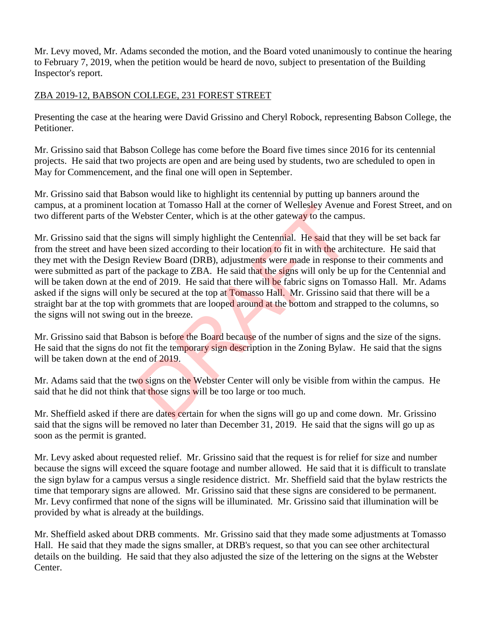Mr. Levy moved, Mr. Adams seconded the motion, and the Board voted unanimously to continue the hearing to February 7, 2019, when the petition would be heard de novo, subject to presentation of the Building Inspector's report.

# ZBA 2019-12, BABSON COLLEGE, 231 FOREST STREET

Presenting the case at the hearing were David Grissino and Cheryl Robock, representing Babson College, the Petitioner.

Mr. Grissino said that Babson College has come before the Board five times since 2016 for its centennial projects. He said that two projects are open and are being used by students, two are scheduled to open in May for Commencement, and the final one will open in September.

Mr. Grissino said that Babson would like to highlight its centennial by putting up banners around the campus, at a prominent location at Tomasso Hall at the corner of Wellesley Avenue and Forest Street, and on two different parts of the Webster Center, which is at the other gateway to the campus.

Mr. Grissino said that the signs will simply highlight the Centennial. He said that they will be set back far from the street and have been sized according to their location to fit in with the architecture. He said that they met with the Design Review Board (DRB), adjustments were made in response to their comments and were submitted as part of the package to ZBA. He said that the signs will only be up for the Centennial and will be taken down at the end of 2019. He said that there will be fabric signs on Tomasso Hall. Mr. Adams asked if the signs will only be secured at the top at Tomasso Hall. Mr. Grissino said that there will be a straight bar at the top with grommets that are looped around at the bottom and strapped to the columns, so the signs will not swing out in the breeze. ation at 1 omasso Hall at the corner of wellesley Avenue<br>Webster Center, which is at the other gateway to the camp<br>signs will simply highlight the Centennial. He said that t<br>een sized according to their location to fit in

Mr. Grissino said that Babson is before the Board because of the number of signs and the size of the signs. He said that the signs do not fit the temporary sign description in the Zoning Bylaw. He said that the signs will be taken down at the end of 2019.

Mr. Adams said that the two signs on the Webster Center will only be visible from within the campus. He said that he did not think that those signs will be too large or too much.

Mr. Sheffield asked if there are dates certain for when the signs will go up and come down. Mr. Grissino said that the signs will be removed no later than December 31, 2019. He said that the signs will go up as soon as the permit is granted.

Mr. Levy asked about requested relief. Mr. Grissino said that the request is for relief for size and number because the signs will exceed the square footage and number allowed. He said that it is difficult to translate the sign bylaw for a campus versus a single residence district. Mr. Sheffield said that the bylaw restricts the time that temporary signs are allowed. Mr. Grissino said that these signs are considered to be permanent. Mr. Levy confirmed that none of the signs will be illuminated. Mr. Grissino said that illumination will be provided by what is already at the buildings.

Mr. Sheffield asked about DRB comments. Mr. Grissino said that they made some adjustments at Tomasso Hall. He said that they made the signs smaller, at DRB's request, so that you can see other architectural details on the building. He said that they also adjusted the size of the lettering on the signs at the Webster Center.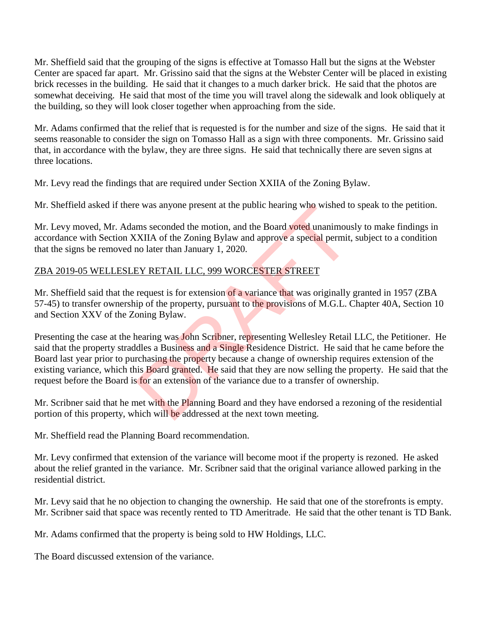Mr. Sheffield said that the grouping of the signs is effective at Tomasso Hall but the signs at the Webster Center are spaced far apart. Mr. Grissino said that the signs at the Webster Center will be placed in existing brick recesses in the building. He said that it changes to a much darker brick. He said that the photos are somewhat deceiving. He said that most of the time you will travel along the sidewalk and look obliquely at the building, so they will look closer together when approaching from the side.

Mr. Adams confirmed that the relief that is requested is for the number and size of the signs. He said that it seems reasonable to consider the sign on Tomasso Hall as a sign with three components. Mr. Grissino said that, in accordance with the bylaw, they are three signs. He said that technically there are seven signs at three locations.

Mr. Levy read the findings that are required under Section XXIIA of the Zoning Bylaw.

Mr. Sheffield asked if there was anyone present at the public hearing who wished to speak to the petition.

Mr. Levy moved, Mr. Adams seconded the motion, and the Board voted unanimously to make findings in accordance with Section XXIIA of the Zoning Bylaw and approve a special permit, subject to a condition that the signs be removed no later than January 1, 2020.

# ZBA 2019-05 WELLESLEY RETAIL LLC, 999 WORCESTER STREET

Mr. Sheffield said that the request is for extension of a variance that was originally granted in 1957 (ZBA 57-45) to transfer ownership of the property, pursuant to the provisions of M.G.L. Chapter 40A, Section 10 and Section XXV of the Zoning Bylaw.

Presenting the case at the hearing was John Scribner, representing Wellesley Retail LLC, the Petitioner. He said that the property straddles a Business and a Single Residence District. He said that he came before the Board last year prior to purchasing the property because a change of ownership requires extension of the existing variance, which this **Board granted.** He said that they are now selling the property. He said that the request before the Board is for an extension of the variance due to a transfer of ownership. e was anyone present at the public hearing who wished to<br>ms seconded the motion, and the Board voted unanimous<br>XIIA of the Zoning Bylaw and approve a special permit,<br>no later than January 1, 2020.<br>EY RETAIL LLC, 999 WORCES

Mr. Scribner said that he met with the Planning Board and they have endorsed a rezoning of the residential portion of this property, which will be addressed at the next town meeting.

Mr. Sheffield read the Planning Board recommendation.

Mr. Levy confirmed that extension of the variance will become moot if the property is rezoned. He asked about the relief granted in the variance. Mr. Scribner said that the original variance allowed parking in the residential district.

Mr. Levy said that he no objection to changing the ownership. He said that one of the storefronts is empty. Mr. Scribner said that space was recently rented to TD Ameritrade. He said that the other tenant is TD Bank.

Mr. Adams confirmed that the property is being sold to HW Holdings, LLC.

The Board discussed extension of the variance.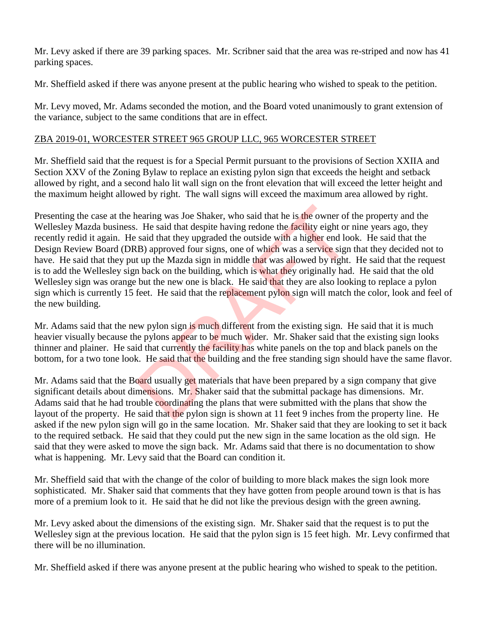Mr. Levy asked if there are 39 parking spaces. Mr. Scribner said that the area was re-striped and now has 41 parking spaces.

Mr. Sheffield asked if there was anyone present at the public hearing who wished to speak to the petition.

Mr. Levy moved, Mr. Adams seconded the motion, and the Board voted unanimously to grant extension of the variance, subject to the same conditions that are in effect.

### ZBA 2019-01, WORCESTER STREET 965 GROUP LLC, 965 WORCESTER STREET

Mr. Sheffield said that the request is for a Special Permit pursuant to the provisions of Section XXIIA and Section XXV of the Zoning Bylaw to replace an existing pylon sign that exceeds the height and setback allowed by right, and a second halo lit wall sign on the front elevation that will exceed the letter height and the maximum height allowed by right. The wall signs will exceed the maximum area allowed by right.

Presenting the case at the hearing was Joe Shaker, who said that he is the owner of the property and the Wellesley Mazda business. He said that despite having redone the facility eight or nine years ago, they recently redid it again. He said that they upgraded the outside with a higher end look. He said that the Design Review Board (DRB) approved four signs, one of which was a service sign that they decided not to have. He said that they put up the Mazda sign in middle that was allowed by right. He said that the request is to add the Wellesley sign back on the building, which is what they originally had. He said that the old Wellesley sign was orange but the new one is black. He said that they are also looking to replace a pylon sign which is currently 15 feet. He said that the replacement pylon sign will match the color, look and feel of the new building. hearing was Joe Shaker, who said that he is the owner of<br>
I He said that despite having redone the **facility** eight or<br>
said that they upgraded the outside with a higher end loc<br>
(B) approved four signs, one of which was a

Mr. Adams said that the new pylon sign is much different from the existing sign. He said that it is much heavier visually because the pylons appear to be much wider. Mr. Shaker said that the existing sign looks thinner and plainer. He said that currently the facility has white panels on the top and black panels on the bottom, for a two tone look. He said that the building and the free standing sign should have the same flavor.

Mr. Adams said that the Board usually get materials that have been prepared by a sign company that give significant details about dimensions. Mr. Shaker said that the submittal package has dimensions. Mr. Adams said that he had trouble coordinating the plans that were submitted with the plans that show the layout of the property. He said that the pylon sign is shown at 11 feet 9 inches from the property line. He asked if the new pylon sign will go in the same location. Mr. Shaker said that they are looking to set it back to the required setback. He said that they could put the new sign in the same location as the old sign. He said that they were asked to move the sign back. Mr. Adams said that there is no documentation to show what is happening. Mr. Levy said that the Board can condition it.

Mr. Sheffield said that with the change of the color of building to more black makes the sign look more sophisticated. Mr. Shaker said that comments that they have gotten from people around town is that is has more of a premium look to it. He said that he did not like the previous design with the green awning.

Mr. Levy asked about the dimensions of the existing sign. Mr. Shaker said that the request is to put the Wellesley sign at the previous location. He said that the pylon sign is 15 feet high. Mr. Levy confirmed that there will be no illumination.

Mr. Sheffield asked if there was anyone present at the public hearing who wished to speak to the petition.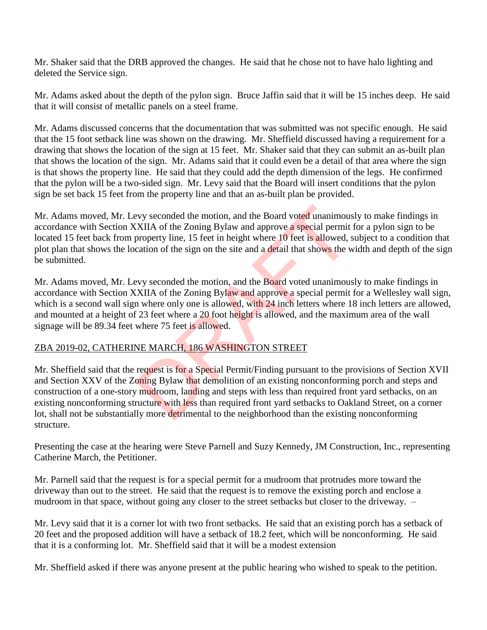Mr. Shaker said that the DRB approved the changes. He said that he chose not to have halo lighting and deleted the Service sign.

Mr. Adams asked about the depth of the pylon sign. Bruce Jaffin said that it will be 15 inches deep. He said that it will consist of metallic panels on a steel frame.

Mr. Adams discussed concerns that the documentation that was submitted was not specific enough. He said that the 15 foot setback line was shown on the drawing. Mr. Sheffield discussed having a requirement for a drawing that shows the location of the sign at 15 feet. Mr. Shaker said that they can submit an as-built plan that shows the location of the sign. Mr. Adams said that it could even be a detail of that area where the sign is that shows the property line. He said that they could add the depth dimension of the legs. He confirmed that the pylon will be a two-sided sign. Mr. Levy said that the Board will insert conditions that the pylon sign be set back 15 feet from the property line and that an as-built plan be provided.

Mr. Adams moved, Mr. Levy seconded the motion, and the Board voted unanimously to make findings in accordance with Section XXIIA of the Zoning Bylaw and approve a special permit for a pylon sign to be located 15 feet back from property line, 15 feet in height where 10 feet is allowed, subject to a condition that plot plan that shows the location of the sign on the site and a detail that shows the width and depth of the sign be submitted.

Mr. Adams moved, Mr. Levy seconded the motion, and the Board voted unanimously to make findings in accordance with Section XXIIA of the Zoning Bylaw and approve a special permit for a Wellesley wall sign, which is a second wall sign where only one is allowed, with 24 inch letters where 18 inch letters are allowed, and mounted at a height of 23 feet where a 20 foot height is allowed, and the maximum area of the wall signage will be 89.34 feet where 75 feet is allowed.

# ZBA 2019-02, CATHERINE MARCH, 186 WASHINGTON STREET

Mr. Sheffield said that the request is for a Special Permit/Finding pursuant to the provisions of Section XVII and Section XXV of the Zoning Bylaw that demolition of an existing nonconforming porch and steps and construction of a one-story mudroom, landing and steps with less than required front yard setbacks, on an existing nonconforming structure with less than required front yard setbacks to Oakland Street, on a corner lot, shall not be substantially more detrimental to the neighborhood than the existing nonconforming structure. expression and the Board voted unanimous<br>
XIIA of the Zoning Bylaw and approve a special permit<br>
property line, 15 feet in height where 10 feet is allowed, section of the sign on the site and a detail that shows the v<br>
exp

Presenting the case at the hearing were Steve Parnell and Suzy Kennedy, JM Construction, Inc., representing Catherine March, the Petitioner.

Mr. Parnell said that the request is for a special permit for a mudroom that protrudes more toward the driveway than out to the street. He said that the request is to remove the existing porch and enclose a mudroom in that space, without going any closer to the street setbacks but closer to the driveway. –

Mr. Levy said that it is a corner lot with two front setbacks. He said that an existing porch has a setback of 20 feet and the proposed addition will have a setback of 18.2 feet, which will be nonconforming. He said that it is a conforming lot. Mr. Sheffield said that it will be a modest extension

Mr. Sheffield asked if there was anyone present at the public hearing who wished to speak to the petition.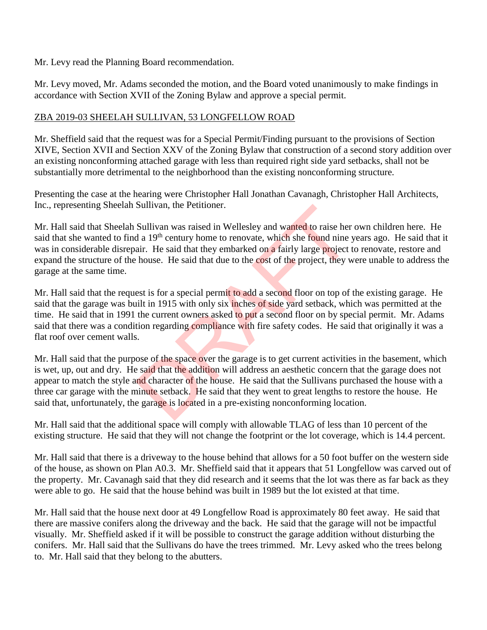Mr. Levy read the Planning Board recommendation.

Mr. Levy moved, Mr. Adams seconded the motion, and the Board voted unanimously to make findings in accordance with Section XVII of the Zoning Bylaw and approve a special permit.

#### ZBA 2019-03 SHEELAH SULLIVAN, 53 LONGFELLOW ROAD

Mr. Sheffield said that the request was for a Special Permit/Finding pursuant to the provisions of Section XIVE, Section XVII and Section XXV of the Zoning Bylaw that construction of a second story addition over an existing nonconforming attached garage with less than required right side yard setbacks, shall not be substantially more detrimental to the neighborhood than the existing nonconforming structure.

Presenting the case at the hearing were Christopher Hall Jonathan Cavanagh, Christopher Hall Architects, Inc., representing Sheelah Sullivan, the Petitioner.

Mr. Hall said that Sheelah Sullivan was raised in Wellesley and wanted to raise her own children here. He said that she wanted to find a 19<sup>th</sup> century home to renovate, which she found nine years ago. He said that it was in considerable disrepair. He said that they embarked on a fairly large project to renovate, restore and expand the structure of the house. He said that due to the cost of the project, they were unable to address the garage at the same time. Sullivan, the Petitioner.<br>
Sullivan was raised in Wellesley and wanted to raise her<br>
d a 19<sup>th</sup> century home to renovate, which she found nine i<br>
air. He said that they embarked on a fairly large project i<br>
house. He said

Mr. Hall said that the request is for a special permit to add a second floor on top of the existing garage. He said that the garage was built in 1915 with only six inches of side yard setback, which was permitted at the time. He said that in 1991 the current owners asked to put a second floor on by special permit. Mr. Adams said that there was a condition regarding compliance with fire safety codes. He said that originally it was a flat roof over cement walls.

Mr. Hall said that the purpose of the space over the garage is to get current activities in the basement, which is wet, up, out and dry. He said that the addition will address an aesthetic concern that the garage does not appear to match the style and character of the house. He said that the Sullivans purchased the house with a three car garage with the minute setback. He said that they went to great lengths to restore the house. He said that, unfortunately, the garage is located in a pre-existing nonconforming location.

Mr. Hall said that the additional space will comply with allowable TLAG of less than 10 percent of the existing structure. He said that they will not change the footprint or the lot coverage, which is 14.4 percent.

Mr. Hall said that there is a driveway to the house behind that allows for a 50 foot buffer on the western side of the house, as shown on Plan A0.3. Mr. Sheffield said that it appears that 51 Longfellow was carved out of the property. Mr. Cavanagh said that they did research and it seems that the lot was there as far back as they were able to go. He said that the house behind was built in 1989 but the lot existed at that time.

Mr. Hall said that the house next door at 49 Longfellow Road is approximately 80 feet away. He said that there are massive conifers along the driveway and the back. He said that the garage will not be impactful visually. Mr. Sheffield asked if it will be possible to construct the garage addition without disturbing the conifers. Mr. Hall said that the Sullivans do have the trees trimmed. Mr. Levy asked who the trees belong to. Mr. Hall said that they belong to the abutters.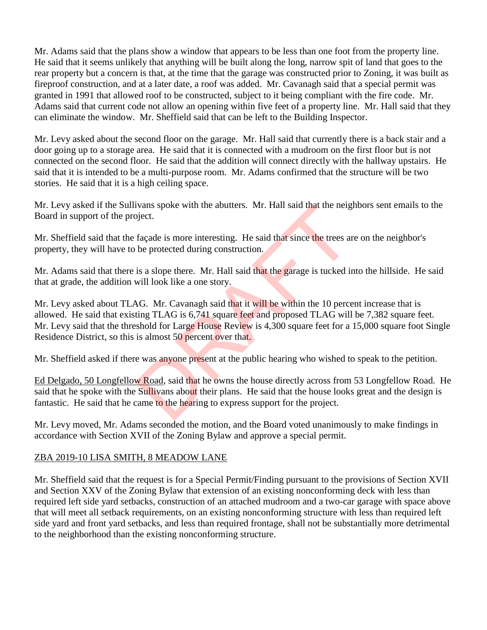Mr. Adams said that the plans show a window that appears to be less than one foot from the property line. He said that it seems unlikely that anything will be built along the long, narrow spit of land that goes to the rear property but a concern is that, at the time that the garage was constructed prior to Zoning, it was built as fireproof construction, and at a later date, a roof was added. Mr. Cavanagh said that a special permit was granted in 1991 that allowed roof to be constructed, subject to it being compliant with the fire code. Mr. Adams said that current code not allow an opening within five feet of a property line. Mr. Hall said that they can eliminate the window. Mr. Sheffield said that can be left to the Building Inspector.

Mr. Levy asked about the second floor on the garage. Mr. Hall said that currently there is a back stair and a door going up to a storage area. He said that it is connected with a mudroom on the first floor but is not connected on the second floor. He said that the addition will connect directly with the hallway upstairs. He said that it is intended to be a multi-purpose room. Mr. Adams confirmed that the structure will be two stories. He said that it is a high ceiling space.

Mr. Levy asked if the Sullivans spoke with the abutters. Mr. Hall said that the neighbors sent emails to the Board in support of the project.

Mr. Sheffield said that the façade is more interesting. He said that since the trees are on the neighbor's property, they will have to be protected during construction.

Mr. Adams said that there is a slope there. Mr. Hall said that the garage is tucked into the hillside. He said that at grade, the addition will look like a one story.

Mr. Levy asked about TLAG. Mr. Cavanagh said that it will be within the 10 percent increase that is allowed. He said that existing TLAG is 6,741 square feet and proposed TLAG will be 7,382 square feet. Mr. Levy said that the threshold for Large House Review is 4,300 square feet for a 15,000 square foot Single Residence District, so this is almost 50 percent over that. IVans spoke with the abutters. Mr. Hall said that the neighborstand<br>façade is more interesting. He said that since the trees and<br>be protected during construction.<br>is a slope there. Mr. Hall said that the garage is tucked i

Mr. Sheffield asked if there was anyone present at the public hearing who wished to speak to the petition.

Ed Delgado, 50 Longfellow Road, said that he owns the house directly across from 53 Longfellow Road. He said that he spoke with the Sullivans about their plans. He said that the house looks great and the design is fantastic. He said that he came to the hearing to express support for the project.

Mr. Levy moved, Mr. Adams seconded the motion, and the Board voted unanimously to make findings in accordance with Section XVII of the Zoning Bylaw and approve a special permit.

# ZBA 2019-10 LISA SMITH, 8 MEADOW LANE

Mr. Sheffield said that the request is for a Special Permit/Finding pursuant to the provisions of Section XVII and Section XXV of the Zoning Bylaw that extension of an existing nonconforming deck with less than required left side yard setbacks, construction of an attached mudroom and a two-car garage with space above that will meet all setback requirements, on an existing nonconforming structure with less than required left side yard and front yard setbacks, and less than required frontage, shall not be substantially more detrimental to the neighborhood than the existing nonconforming structure.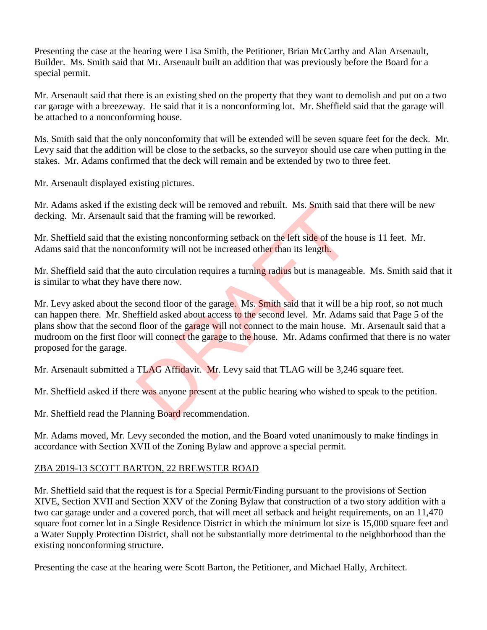Presenting the case at the hearing were Lisa Smith, the Petitioner, Brian McCarthy and Alan Arsenault, Builder. Ms. Smith said that Mr. Arsenault built an addition that was previously before the Board for a special permit.

Mr. Arsenault said that there is an existing shed on the property that they want to demolish and put on a two car garage with a breezeway. He said that it is a nonconforming lot. Mr. Sheffield said that the garage will be attached to a nonconforming house.

Ms. Smith said that the only nonconformity that will be extended will be seven square feet for the deck. Mr. Levy said that the addition will be close to the setbacks, so the surveyor should use care when putting in the stakes. Mr. Adams confirmed that the deck will remain and be extended by two to three feet.

Mr. Arsenault displayed existing pictures.

Mr. Adams asked if the existing deck will be removed and rebuilt. Ms. Smith said that there will be new decking. Mr. Arsenault said that the framing will be reworked.

Mr. Sheffield said that the existing nonconforming setback on the left side of the house is 11 feet. Mr. Adams said that the nonconformity will not be increased other than its length.

Mr. Sheffield said that the auto circulation requires a turning radius but is manageable. Ms. Smith said that it is similar to what they have there now.

Mr. Levy asked about the second floor of the garage. Ms. Smith said that it will be a hip roof, so not much can happen there. Mr. Sheffield asked about access to the second level. Mr. Adams said that Page 5 of the plans show that the second floor of the garage will not connect to the main house. Mr. Arsenault said that a mudroom on the first floor will connect the garage to the house. Mr. Adams confirmed that there is no water proposed for the garage. Isting deck will be removed and rebuilt. Ms. Smith said<br>id that the framing will be reworked.<br>existing nonconforming setback on the left side of the hor<br>formity will not be increased other than its length.<br>auto circulation

Mr. Arsenault submitted a TLAG Affidavit. Mr. Levy said that TLAG will be 3,246 square feet.

Mr. Sheffield asked if there was anyone present at the public hearing who wished to speak to the petition.

Mr. Sheffield read the Planning Board recommendation.

Mr. Adams moved, Mr. Levy seconded the motion, and the Board voted unanimously to make findings in accordance with Section XVII of the Zoning Bylaw and approve a special permit.

# ZBA 2019-13 SCOTT BARTON, 22 BREWSTER ROAD

Mr. Sheffield said that the request is for a Special Permit/Finding pursuant to the provisions of Section XIVE, Section XVII and Section XXV of the Zoning Bylaw that construction of a two story addition with a two car garage under and a covered porch, that will meet all setback and height requirements, on an 11,470 square foot corner lot in a Single Residence District in which the minimum lot size is 15,000 square feet and a Water Supply Protection District, shall not be substantially more detrimental to the neighborhood than the existing nonconforming structure.

Presenting the case at the hearing were Scott Barton, the Petitioner, and Michael Hally, Architect.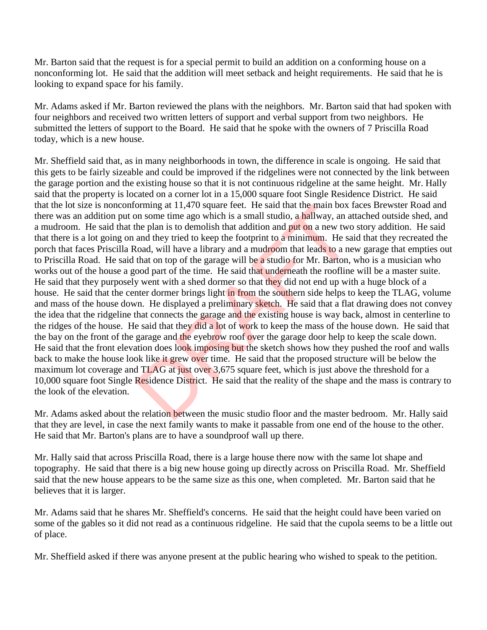Mr. Barton said that the request is for a special permit to build an addition on a conforming house on a nonconforming lot. He said that the addition will meet setback and height requirements. He said that he is looking to expand space for his family.

Mr. Adams asked if Mr. Barton reviewed the plans with the neighbors. Mr. Barton said that had spoken with four neighbors and received two written letters of support and verbal support from two neighbors. He submitted the letters of support to the Board. He said that he spoke with the owners of 7 Priscilla Road today, which is a new house.

Mr. Sheffield said that, as in many neighborhoods in town, the difference in scale is ongoing. He said that this gets to be fairly sizeable and could be improved if the ridgelines were not connected by the link between the garage portion and the existing house so that it is not continuous ridgeline at the same height. Mr. Hally said that the property is located on a corner lot in a 15,000 square foot Single Residence District. He said that the lot size is nonconforming at 11,470 square feet. He said that the main box faces Brewster Road and there was an addition put on some time ago which is a small studio, a hallway, an attached outside shed, and a mudroom. He said that the plan is to demolish that addition and put on a new two story addition. He said that there is a lot going on and they tried to keep the footprint to a minimum. He said that they recreated the porch that faces Priscilla Road, will have a library and a mudroom that leads to a new garage that empties out to Priscilla Road. He said that on top of the garage will be a studio for Mr. Barton, who is a musician who works out of the house a good part of the time. He said that underneath the roofline will be a master suite. He said that they purposely went with a shed dormer so that they did not end up with a huge block of a house. He said that the center dormer brings light in from the southern side helps to keep the TLAG, volume and mass of the house down. He displayed a preliminary sketch. He said that a flat drawing does not convey the idea that the ridgeline that connects the garage and the existing house is way back, almost in centerline to the ridges of the house. He said that they did a lot of work to keep the mass of the house down. He said that the bay on the front of the garage and the eyebrow roof over the garage door help to keep the scale down. He said that the front elevation does look imposing but the sketch shows how they pushed the roof and walls back to make the house look like it grew over time. He said that the proposed structure will be below the maximum lot coverage and TLAG at just over 3,675 square feet, which is just above the threshold for a 10,000 square foot Single Residence District. He said that the reality of the shape and the mass is contrary to the look of the elevation. borning at 11,470 square reet. He said that the main box in some time ago which is a small studio, a hallway, an a he plan is to demolish that addition and put on a new two and they tried to keep the footprint to a minimu

Mr. Adams asked about the relation between the music studio floor and the master bedroom. Mr. Hally said that they are level, in case the next family wants to make it passable from one end of the house to the other. He said that Mr. Barton's plans are to have a soundproof wall up there.

Mr. Hally said that across Priscilla Road, there is a large house there now with the same lot shape and topography. He said that there is a big new house going up directly across on Priscilla Road. Mr. Sheffield said that the new house appears to be the same size as this one, when completed. Mr. Barton said that he believes that it is larger.

Mr. Adams said that he shares Mr. Sheffield's concerns. He said that the height could have been varied on some of the gables so it did not read as a continuous ridgeline. He said that the cupola seems to be a little out of place.

Mr. Sheffield asked if there was anyone present at the public hearing who wished to speak to the petition.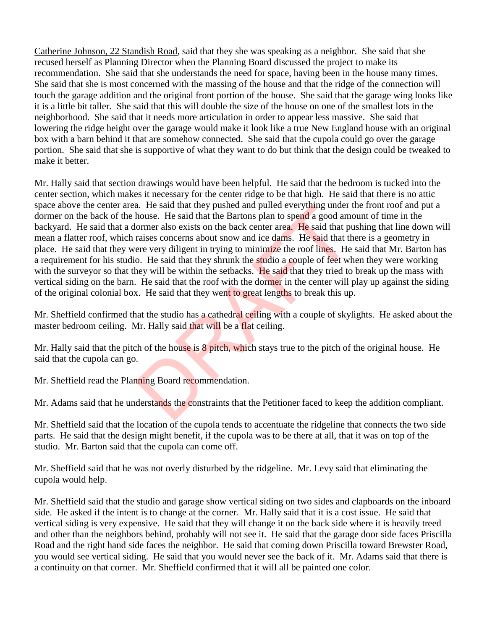Catherine Johnson, 22 Standish Road, said that they she was speaking as a neighbor. She said that she recused herself as Planning Director when the Planning Board discussed the project to make its recommendation. She said that she understands the need for space, having been in the house many times. She said that she is most concerned with the massing of the house and that the ridge of the connection will touch the garage addition and the original front portion of the house. She said that the garage wing looks like it is a little bit taller. She said that this will double the size of the house on one of the smallest lots in the neighborhood. She said that it needs more articulation in order to appear less massive. She said that lowering the ridge height over the garage would make it look like a true New England house with an original box with a barn behind it that are somehow connected. She said that the cupola could go over the garage portion. She said that she is supportive of what they want to do but think that the design could be tweaked to make it better.

Mr. Hally said that section drawings would have been helpful. He said that the bedroom is tucked into the center section, which makes it necessary for the center ridge to be that high. He said that there is no attic space above the center area. He said that they pushed and pulled everything under the front roof and put a dormer on the back of the house. He said that the Bartons plan to spend a good amount of time in the backyard. He said that a dormer also exists on the back center area. He said that pushing that line down will mean a flatter roof, which raises concerns about snow and ice dams. He said that there is a geometry in place. He said that they were very diligent in trying to minimize the roof lines. He said that Mr. Barton has a requirement for his studio. He said that they shrunk the studio a couple of feet when they were working with the surveyor so that they will be within the setbacks. He said that they tried to break up the mass with vertical siding on the barn. He said that the roof with the dormer in the center will play up against the siding of the original colonial box. He said that they went to great lengths to break this up. a. He said that they pushed and pulled everything under<br>house. He said that the Bartons plan to spend a good am<br>ormer also exists on the back center area. He said that p<br>raises concerns about snow and ice dams. He said tha

Mr. Sheffield confirmed that the studio has a cathedral ceiling with a couple of skylights. He asked about the master bedroom ceiling. Mr. Hally said that will be a flat ceiling.

Mr. Hally said that the pitch of the house is 8 pitch, which stays true to the pitch of the original house. He said that the cupola can go.

Mr. Sheffield read the Planning Board recommendation.

Mr. Adams said that he understands the constraints that the Petitioner faced to keep the addition compliant.

Mr. Sheffield said that the location of the cupola tends to accentuate the ridgeline that connects the two side parts. He said that the design might benefit, if the cupola was to be there at all, that it was on top of the studio. Mr. Barton said that the cupola can come off.

Mr. Sheffield said that he was not overly disturbed by the ridgeline. Mr. Levy said that eliminating the cupola would help.

Mr. Sheffield said that the studio and garage show vertical siding on two sides and clapboards on the inboard side. He asked if the intent is to change at the corner. Mr. Hally said that it is a cost issue. He said that vertical siding is very expensive. He said that they will change it on the back side where it is heavily treed and other than the neighbors behind, probably will not see it. He said that the garage door side faces Priscilla Road and the right hand side faces the neighbor. He said that coming down Priscilla toward Brewster Road, you would see vertical siding. He said that you would never see the back of it. Mr. Adams said that there is a continuity on that corner. Mr. Sheffield confirmed that it will all be painted one color.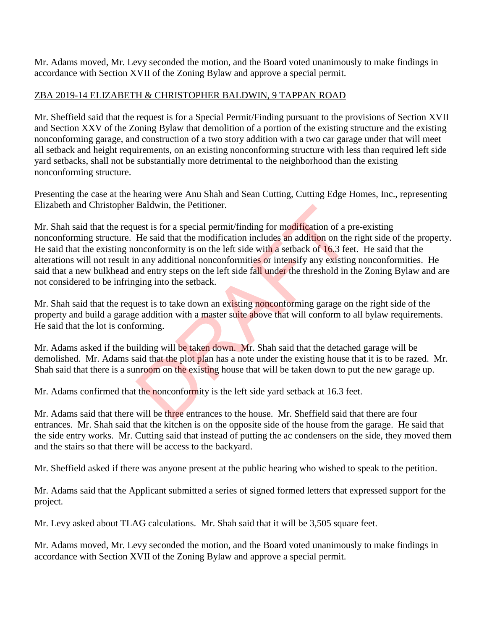Mr. Adams moved, Mr. Levy seconded the motion, and the Board voted unanimously to make findings in accordance with Section XVII of the Zoning Bylaw and approve a special permit.

# ZBA 2019-14 ELIZABETH & CHRISTOPHER BALDWIN, 9 TAPPAN ROAD

Mr. Sheffield said that the request is for a Special Permit/Finding pursuant to the provisions of Section XVII and Section XXV of the Zoning Bylaw that demolition of a portion of the existing structure and the existing nonconforming garage, and construction of a two story addition with a two car garage under that will meet all setback and height requirements, on an existing nonconforming structure with less than required left side yard setbacks, shall not be substantially more detrimental to the neighborhood than the existing nonconforming structure.

Presenting the case at the hearing were Anu Shah and Sean Cutting, Cutting Edge Homes, Inc., representing Elizabeth and Christopher Baldwin, the Petitioner.

Mr. Shah said that the request is for a special permit/finding for modification of a pre-existing nonconforming structure. He said that the modification includes an addition on the right side of the property. He said that the existing nonconformity is on the left side with a setback of 16.3 feet. He said that the alterations will not result in any additional nonconformities or intensify any existing nonconformities. He said that a new bulkhead and entry steps on the left side fall under the threshold in the Zoning Bylaw and are not considered to be infringing into the setback. Baldwin, the Petitioner.<br>
He said that the modification includes an addition of a p<br>
He said that the modification includes an addition on the<br>
pareonformity is on the left side with a setback of 16.3 fee<br>
n any additional

Mr. Shah said that the request is to take down an existing nonconforming garage on the right side of the property and build a garage addition with a master suite above that will conform to all bylaw requirements. He said that the lot is conforming.

Mr. Adams asked if the building will be taken down. Mr. Shah said that the detached garage will be demolished. Mr. Adams said that the plot plan has a note under the existing house that it is to be razed. Mr. Shah said that there is a sunroom on the existing house that will be taken down to put the new garage up.

Mr. Adams confirmed that the nonconformity is the left side yard setback at 16.3 feet.

Mr. Adams said that there will be three entrances to the house. Mr. Sheffield said that there are four entrances. Mr. Shah said that the kitchen is on the opposite side of the house from the garage. He said that the side entry works. Mr. Cutting said that instead of putting the ac condensers on the side, they moved them and the stairs so that there will be access to the backyard.

Mr. Sheffield asked if there was anyone present at the public hearing who wished to speak to the petition.

Mr. Adams said that the Applicant submitted a series of signed formed letters that expressed support for the project.

Mr. Levy asked about TLAG calculations. Mr. Shah said that it will be 3,505 square feet.

Mr. Adams moved, Mr. Levy seconded the motion, and the Board voted unanimously to make findings in accordance with Section XVII of the Zoning Bylaw and approve a special permit.